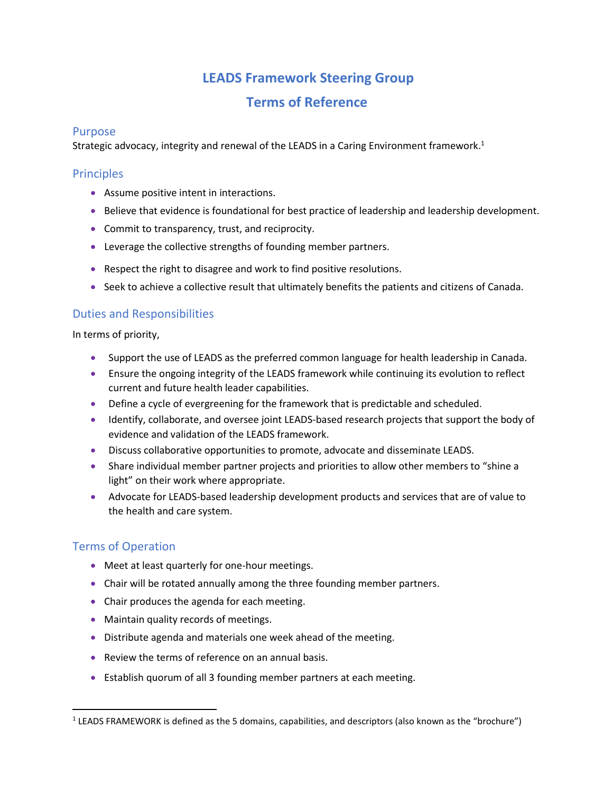# **LEADS Framework Steering Group**

# **Terms of Reference**

## Purpose

Strategic advocacy, integrity and renewal of the LEADS in a Caring Environment framework.<sup>1</sup>

# **Principles**

- Assume positive intent in interactions.
- Believe that evidence is foundational for best practice of leadership and leadership development.
- Commit to transparency, trust, and reciprocity.
- Leverage the collective strengths of founding member partners.
- Respect the right to disagree and work to find positive resolutions.
- Seek to achieve a collective result that ultimately benefits the patients and citizens of Canada.

# Duties and Responsibilities

In terms of priority,

- Support the use of LEADS as the preferred common language for health leadership in Canada.
- Ensure the ongoing integrity of the LEADS framework while continuing its evolution to reflect current and future health leader capabilities.
- Define a cycle of evergreening for the framework that is predictable and scheduled.
- Identify, collaborate, and oversee joint LEADS-based research projects that support the body of evidence and validation of the LEADS framework.
- Discuss collaborative opportunities to promote, advocate and disseminate LEADS.
- Share individual member partner projects and priorities to allow other members to "shine a light" on their work where appropriate.
- Advocate for LEADS-based leadership development products and services that are of value to the health and care system.

# Terms of Operation

- Meet at least quarterly for one-hour meetings.
- Chair will be rotated annually among the three founding member partners.
- Chair produces the agenda for each meeting.
- Maintain quality records of meetings.
- Distribute agenda and materials one week ahead of the meeting.
- Review the terms of reference on an annual basis.
- Establish quorum of all 3 founding member partners at each meeting.

 $<sup>1</sup>$  LEADS FRAMEWORK is defined as the 5 domains, capabilities, and descriptors (also known as the "brochure")</sup>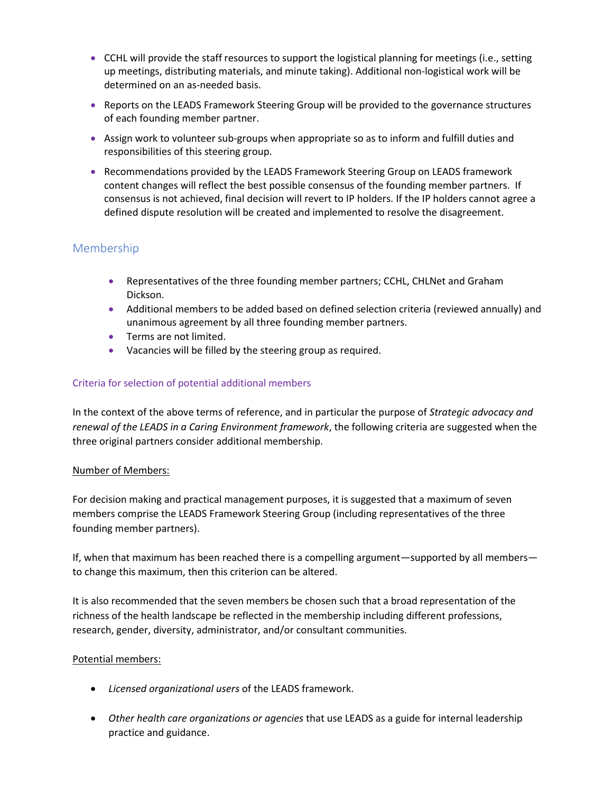- CCHL will provide the staff resources to support the logistical planning for meetings (i.e., setting up meetings, distributing materials, and minute taking). Additional non-logistical work will be determined on an as-needed basis.
- Reports on the LEADS Framework Steering Group will be provided to the governance structures of each founding member partner.
- Assign work to volunteer sub-groups when appropriate so as to inform and fulfill duties and responsibilities of this steering group.
- Recommendations provided by the LEADS Framework Steering Group on LEADS framework content changes will reflect the best possible consensus of the founding member partners. If consensus is not achieved, final decision will revert to IP holders. If the IP holders cannot agree a defined dispute resolution will be created and implemented to resolve the disagreement.

# Membership

- Representatives of the three founding member partners; CCHL, CHLNet and Graham Dickson.
- Additional members to be added based on defined selection criteria (reviewed annually) and unanimous agreement by all three founding member partners.
- Terms are not limited.
- Vacancies will be filled by the steering group as required.

# Criteria for selection of potential additional members

In the context of the above terms of reference, and in particular the purpose of *Strategic advocacy and renewal of the LEADS in a Caring Environment framework*, the following criteria are suggested when the three original partners consider additional membership.

### Number of Members:

For decision making and practical management purposes, it is suggested that a maximum of seven members comprise the LEADS Framework Steering Group (including representatives of the three founding member partners).

If, when that maximum has been reached there is a compelling argument—supported by all members to change this maximum, then this criterion can be altered.

It is also recommended that the seven members be chosen such that a broad representation of the richness of the health landscape be reflected in the membership including different professions, research, gender, diversity, administrator, and/or consultant communities.

### Potential members:

- *Licensed organizational users* of the LEADS framework.
- *Other health care organizations or agencies* that use LEADS as a guide for internal leadership practice and guidance.